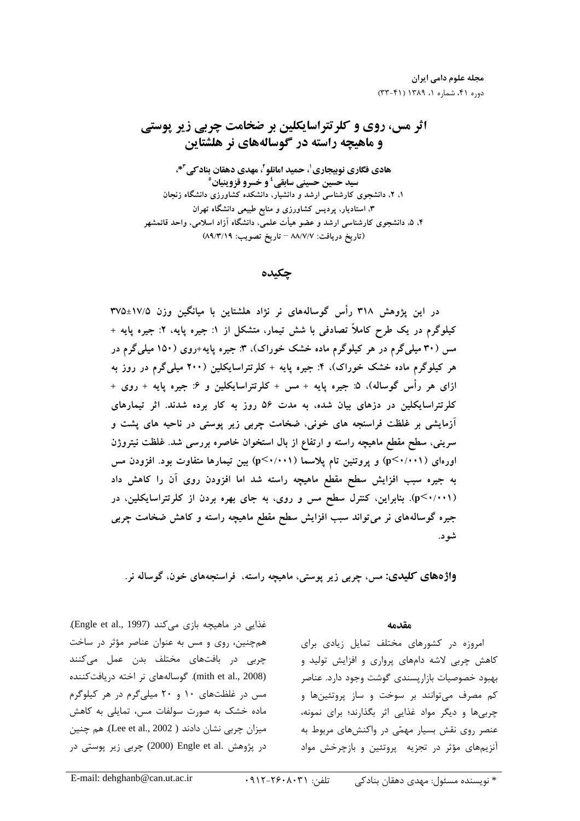مجله علوم دامی ایران

# اثر مس، روي و كلرتتراسايكلين بر ضخامت چربي زير پوستي و ماهيچه راسته در گوسالههاي نر هلشتاين

هادي فگاري نوبيجاري'، حميد امانلو <sup>٢</sup>، مهدي دهقان بناد *كي* <sup>٣</sup>\*، سيد حسين حسيني سابقي<sup>ء</sup>َ و خسرو قزوينيان° ۱. ۲. دانشجوی کارشناسی ارشد و دانشیار. دانشکده کشاورزی دانشگاه زنجان ۳، استادیار، پردیس کشاورزی و منابع طبیعی دانشگاه تهران ۴. ۵. دانشجوی کارشناسی ارشد و عضو هیات علمی، دانشگاه ازاد اسلامی، واحد قائمشهر (تاريخ دريافت: ٨٨/٧/٧ – تاريخ تصويب: ٨٩/٣/١٩)

چكيده

در این پژوهش ۳۱۸ راس گوسالههای نر نژاد هلشتاین با میانگین وزن ۱۷/۵±۳۷۵ کیلوگرم در یک طرح کاملاً تصادفی با شش تیمار، متشکل از ۱: جیره پایه، ۲: جیره پایه + مس (۳۰ میلیگرم در هر کیلوگرم ماده خشک خوراک)، ۳: جیره پایه+روی (۱۵۰ میلیگرم در هر کیلوگرم ماده خشک خوراک)، ۴: جیره پایه + کلرتتراسایکلین (۲۰۰ میلیگرم در روز به ازای هر راس گوساله)، ۵: جیره پایه + مس + کلرتتراسایکلین و ۶: جیره پایه + روی + کلرتتراسایکلین در دزهای بیان شده، به مدت ۵۶ روز به کار برده شدند. اثر تیمارهای ازمایشی بر غلظت فراسنجه های خونی، ضخامت چربی زیر پوستی در ناحیه های پشت و سرینی، سطح مقطع ماهیچه راسته و ارتفاع از بال استخوان خاصره بررسی شد. غلظت نیتروژن اورهای (p<۰/۰۰۱) و پروتئین تام پلاسما (p<۰/۰۰۱) بین تیمارها متفاوت بود. افزودن مس به جیره سبب افزایش سطح مقطع ماهیچه راسته شد اما افزودن روی ان را کاهش داد (p<۰/۰۰۱). بنابراین، کنترل سطح مس و روی، به جای بهره بردن از کلرتتراسایکلین، در جیره گوسالههای نر میتواند سبب افزایش سطح مقطع ماهیچه راسته و کاهش ضخامت چربی شود.

واژههای کلیدی: مس، چربی زیر پوستی، ماهیچه راسته، فراسنجههای خون، گوساله نر.

غذایی در ماهیچه بازی میکند (Engle et al., 1997). همچنین، روی و مس به عنوان عناصر مؤثر در ساخت چربی در بافتهای مختلف بدن عمل میکنند (mith et al., 2008). گوسالههای نر اخته دریافتکننده میں در غلظتهای ۱۰ و ۲۰ میلے گرم در هر کیلوگرم ماده خشک به صورت سولفات مس، تمایلی به کاهش ميزان چربي نشان دادند ( Lee et al., 2002). هم چنين در پژوهش .Engle et al (2000) چربی زیر پوستی در

#### مقدمه

امروزه در کشورهای مختلف تمایل زیادی برای .<br>کاهش چربی لاشه دامهای برواری و افزایش تولید و دسود خصوصیات بازار بسندی گوشت وجود دارد. عناصر کم مصرف می توانند بر سوخت و ساز بروتئب ها و حرب ها و دیگ مواد غذایی اثر یگذارند؛ برای نمونه، عنصر روی نقش بسیار مهمّی در واکنش های مربوط به .<br>آن بیرهای مؤثر در تحزیه ریوتئین و بازچرخش مواد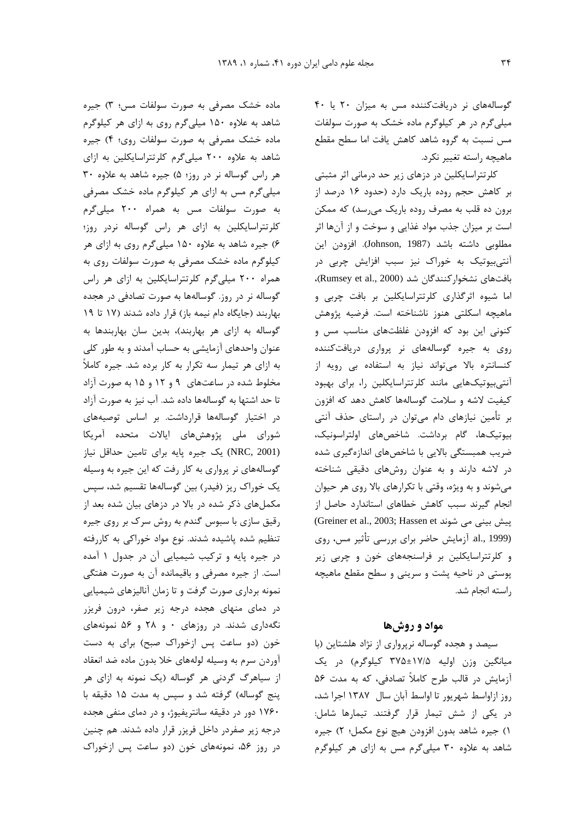گوسالههای نر دریافت کننده مس به میزان ۲۰ یا ۴۰ میلی گرم در هر کیلوگرم ماده خشک به صورت سولفات مس نسبت به گروه شاهد کاهش یافت اما سطح مقطع ماهیچه راسته تغییر نکرد.

کلرتتراسایکلین در دزهای زیر حد درمانی اثر مثبتی بر کاهش حجم روده باریک دارد (حدود ۱۶ درصد از برون ده قلب به مصرف روده باریک می رسد) که ممکن است بر میزان جذب مواد غذایی و سوخت و از آنها اثر مطلوبی داشته باشد (Johnson, 1987). افزودن این آنتے ہیوتیک به خوراک نیز سبب افزایش چربی در بافتهای نشخوار کنندگان شد (Rumsey et al., 2000)، اما شیوه اثرگذاری کلرتتراسایکلین بر بافت چربی و ماهيچه اسكلتى هنوز ناشناخته است. فرضيه پژوهش کنونی این بود که افزودن غلظتهای مناسب مس و روی به جیره گوسالههای نر پرواری دریافت کننده کنسانتره بالا میتواند نیاز به استفاده بی رویه از آنتی بیوتیکهایی مانند کلرتتراسایکلین را، برای بهبود كيفيت لاشه و سلامت گوسالهها كاهش دهد كه افزون بر تأمین نیازهای دام میتوان در راستای حذف آنتی بیوتیکها، گام برداشت. شاخصهای اولتراسونیک، ضریب همبستگی بالایی با شاخصهای اندازهگیری شده در لاشه دارند و به عنوان روشهای دقیقی شناخته میشوند و به ویژه، وقتی با تکرارهای بالا روی هر حیوان انجام گیرند سبب کاهش خطاهای استاندارد حاصل از (Greiner et al., 2003; Hassen et پیش بینی می شوند al., 1999). آزمایش حاضر برای بررسی تأثیر مس، روی و کلرتتراسایکلین بر فراسنجههای خون و چربی زیر یوستی در ناحیه پشت و سرینی و سطح مقطع ماهیچه راسته انجام شد.

### مواد و روشها

سیصد و هجده گوساله نرپرواری از نژاد هلشتاین (با میانگین وزن اولیه ۱۷/۵±۳۷۵ کیلوگرم) در یک آزمایش در قالب طرح کاملاً تصادفی، که به مدت ۵۶ روز ازاواسط شهريور تا اواسط آبان سال ١٣٨٧ اجرا شد، در یکی از شش تیمار قرار گرفتند. تیمارها شامل: ١) جيره شاهد بدون افزودن هيچ نوع مكمل؛ ٢) جيره شاهد به علاوه ٣٠ ميلي گرم مس به ازاي هر كيلوگرم

ماده خشک مصرفی به صورت سولفات مس؛ ۳) جیره شاهد به علاوه ۱۵۰ میلی گرم روی به ازای هر کیلوگرم ماده خشک مصرفی به صورت سولفات روی؛ ۴) جیره شاهد به علاوه ٢٠٠ ميلي گرم كلرتتراسايكلين به ازاى هر راس گوساله نر در روز؛ ۵) جیره شاهد به علاوه ۳۰ میلی گرم مس به ازای هر کیلوگرم ماده خشک مصرفی به صورت سولفات مس به همراه ۲۰۰ میلی گرم کلرتتراسایکلین به ازای هر راس گوساله نردر روز؛ ۶) جیره شاهد به علاوه ۱۵۰ میلیگرم روی به ازای هر کیلوگرم ماده خشک مصرفی به صورت سولفات روی به همراه ۲۰۰ میلیگرم کلرتتراسایکلین به ازای هر راس گوساله نر در روز. گوسالهها به صورت تصادفی در هجده بهاربند (جایگاه دام نیمه باز) قرار داده شدند (١٧ تا ١٩ گوساله به ازای هر بهاربند)، بدین سان بهاربندها به عنوان واحدهای آزمایشی به حساب آمدند و به طور کلی به ازای هر تیمار سه تکرار به کار برده شد. جیره کاملاً مخلوط شده در ساعتهای ۹ و ۱۲ و ۱۵ به صورت آزاد تا حد اشتها به گوسالهها داده شد. آب نیز به صورت آزاد در اختیار گوسالهها قرارداشت. بر اساس توصیههای شورای ملی پژوهشهای ایالات متحده آمریکا (NRC, 2001) یک جیره پایه برای تامین حداقل نیاز گوسالههای نر پرواری به کار رفت که این جیره به وسیله یک خوراک ریز (فیدر) بین گوسالهها تقسیم شد، سپس مکملهای ذکر شده در بالا در دزهای بیان شده بعد از رقیق سازی با سبوس گندم به روش سرک بر روی جیره تنظیم شده یاشیده شدند. نوع مواد خوراکی به کاررفته در جیره پایه و ترکیب شیمیایی آن در جدول ۱ آمده است. از جیره مصرفی و باقیمانده آن به صورت هفتگی نمونه برداری صورت گرفت و تا زمان آنالیزهای شیمیایی در دمای منهای هجده درجه زیر صفر، درون فریزر نگهداری شدند. در روزهای ۰ و ۲۸ و ۵۶ نمونههای خون (دو ساعت پس ازخوراک صبح) برای به دست آوردن سرم به وسيله لولههاى خلا بدون ماده ضد انعقاد از سیاهرگ گردنی هر گوساله (یک نمونه به ازای هر پنج گوساله) گرفته شد و سپس به مدت ۱۵ دقیقه با ۱۷۶۰ دور در دقیقه سانتریفیوژ، و در دمای منفی هجده درجه زير صفردر داخل فريزر قرار داده شدند. هم چنين در روز ۵۶، نمونههای خون (دو ساعت پس ازخوراک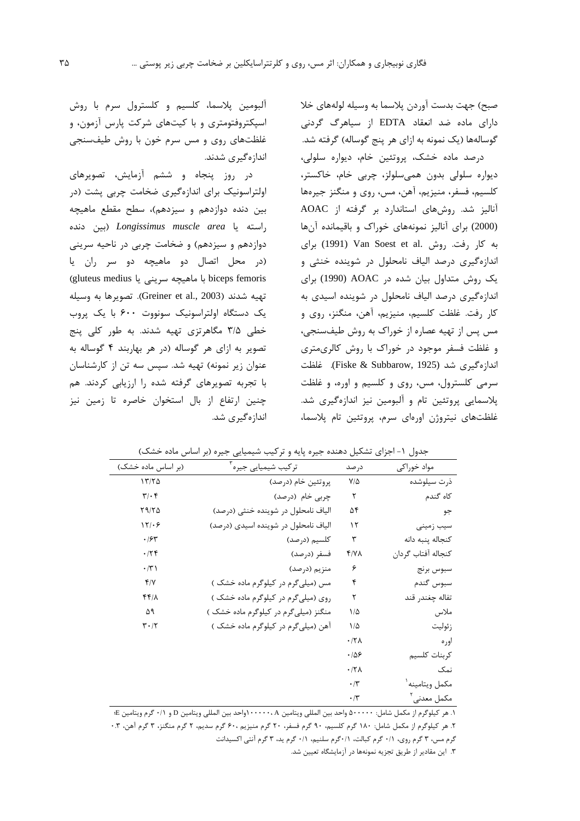صبح) جهت بدست آوردن پلاسما به وسیله لولههای خلا دارای ماده ضد انعقاد EDTA از سیاهرگ گردنی گوسالهها (یک نمونه به ازای هر پنج گوساله) گرفته شد.

درصد ماده خشک، پروتئین خام، دیواره سلولی، ديواره سلولى بدون همىسلولز، چربى خام، خاكستر، كلسيم، فسفر، منيزيم، آهن، مس، روى و منگنز جيرهها آنالیز شد. روش های استاندارد بر گرفته از AOAC (2000) برای آنالیز نمونههای خوراک و باقیمانده آنها به کار رفت. روش .Van Soest et al برای اندازه گیری درصد الیاف نامحلول در شوینده خنثی و یک روش متداول بیان شده در AOAC (1990) برای اندازهگیری درصد الیاف نامحلول در شوینده اسیدی به كار رفت. غلظت كلسيم، منيزيم، آهن، منگنز، روى و مس پس از تهیه عصاره از خوراک به روش طیفسنجی، و غلظت فسفر موجود در خوراک با روش کالریمتری اندازہگیری شد (Fiske & Subbarow, 1925). غلظت سرمي کلسترول، مس، روی و کلسيم و اوره، و غلظت پلاسمایی پروتئین تام و آلبومین نیز اندازهگیری شد. غلظتهای نیتروژن اورەای سرم، پروتئین تام پلاسما،

آلبومين پلاسما، كلسيم و كلسترول سرم با روش اسیکتروفتومتری و با کیتهای شرکت پارس آزمون، و غلظتهای روی و مس سرم خون با روش طیفسنجی اندازەگىرى شدند.

در روز پنجاه و ششم آزمایش، تصویرهای اولتراسونیک برای اندازهگیری ضخامت چربی پشت (در بين دنده دوازدهم و سيزدهم)، سطح مقطع ماهيچه راسته یا Longissimus muscle area (بین دنده) دوازدهم و سیزدهم) و ضخامت چربی در ناحیه سرینی (در محل اتصال دو ماهیچه دو سر ران یا biceps femoris با ماهيچه سريني يا gluteus medius تهيه شدند (Greiner et al., 2003). تصويرها به وسيله یک دستگاه اولتراسونیک سونووت ۶۰۰ با یک پروب خطی ۳/۵ مگاهرتزی تهیه شدند. به طور کلی پنج تصویر به ازای هر گوساله (در هر بهاربند ۴ گوساله به عنوان زیر نمونه) تهیه شد. سپس سه تن از کارشناسان با تجربه تصویرهای گرفته شده را ارزیابی کردند. هم چنین ارتفاع از بال استخوان خاصره تا زمین نیز اندازهگیری شد.

| (بر اساس ماده خشک)            | ترکیب شیمیایی جیره <sup>۳</sup>      | در صد        | مواد خوراکی             |
|-------------------------------|--------------------------------------|--------------|-------------------------|
| 1770                          | پروتئين خام (درصد)                   | $V/\Delta$   | ذرت سيلوشده             |
| $\mathbf{r}/\cdot\mathbf{r}$  | چربی خام (درصد)                      | ٢            | كاه گندم                |
| Y9/YQ                         | الياف نامحلول در شوينده خنثى (درصد)  | ۵۴           | جو                      |
| 17/29                         | الیاف نامحلول در شوینده اسیدی (درصد) | ۱۲           | سیب زمینی               |
| .78                           | كلسيم (درصد)                         | ٣            | كنجاله پنبه دانه        |
| .75                           | فسفر (درصد)                          | ۴/۷۸         | كنجاله أفتاب گردان      |
| $\cdot$ /٣١                   | منزيم (درصد)                         | ۶            | سبوس برنج               |
| Y/Y                           | مس (میلیگرم در کیلوگرم ماده خشک)     | ۴            | سبوس گندم               |
| ۴۴۱۸                          | روی (میلیگرم در کیلوگرم ماده خشک )   | ٢            | تفاله چغندر قند         |
| ۵۹                            | منگنز (میلیگرم در کیلوگرم ماده خشک)  | ۱/۵          | ملاس                    |
| $\mathbf{r} \cdot \mathbf{r}$ | آهن (میلی گرم در کیلوگرم ماده خشک)   | $1/\Delta$   | زئوليت                  |
|                               |                                      | $.77\lambda$ | اوره                    |
|                               |                                      | $\cdot$ /08  | كربنات كلسيم            |
|                               |                                      | $.77\lambda$ | نمک                     |
|                               |                                      | $\cdot/\tau$ | مكمل ويتامينه           |
|                               |                                      | $\cdot/\tau$ | مکمل معدنی <sup>۲</sup> |

جدول ۱- اجزای تشکیل دهنده جیره پایه و ترکیب شیمیایی جیره (بر اساس ماده خشک)

۱. هر كيلوگرم از مكمل شامل: ۵۰۰۰۰۰ واحد بين المللي ويتامين ۱۰۰۰۰۰،۸واحد بين المللي ويتامين D و ۰/۱ گرم ويتامين E

٢. هر كيلوگرم از مكمل شامل: ١٨٠ گرم كلسيم، ٩٠ گرم فسفر، ٢٠ گرم منيزيم ،٤٠ گرم سديم، ٢ گرم منگنز، ٣ گرم آهن، ٣.٠

گرم مس، ۳ گرم روی، ۰/۱ گرم کبالت، ۰/۱ گرم سلنیم، ۰/۱ گرم ید، ۳ گرم آنتی اکسیدانت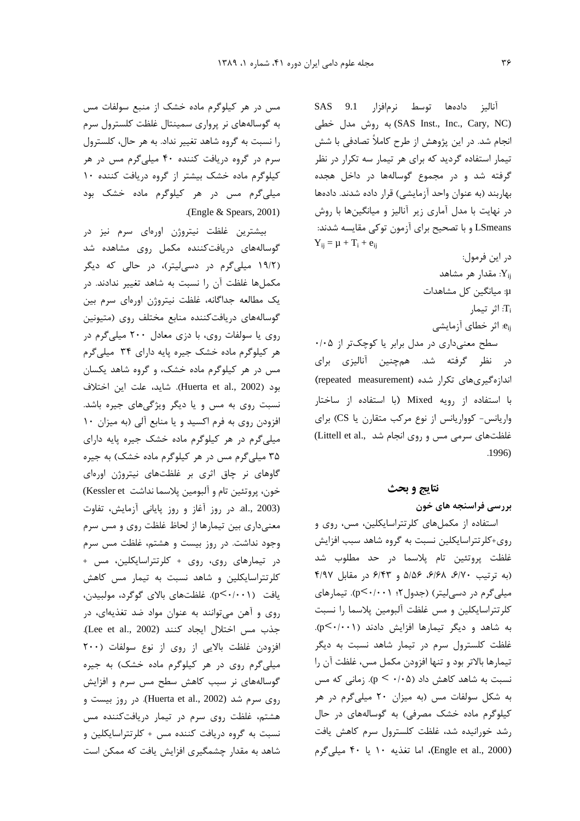مس در هر کیلوگرم ماده خشک از منبع سولفات مس به گوسالههای نر پرواری سمینتال غلظت کلسترول سرم را نسبت به گروه شاهد تغییر نداد. به هر حال، کلسترول سرم در گروه دریافت کننده ۴۰ میلی گرم مس در هر کیلوگرم ماده خشک بیشتر از گروه دریافت کننده ۱۰ میلی گرم مس در هر کیلوگرم ماده خشک بود .(Engle  $&$  Spears, 2001)

بیشترین غلظت نیتروژن اورهای سرم نیز در گوسالههای دریافتکننده مکمل روی مشاهده شد (۱۹/۲ میلیگرم در دسی لیتر)، در حالی که دیگر مكملها غلظت آن را نسبت به شاهد تغيير ندادند. در يک مطالعه جداگانه، غلظت نيتروژن اورهاي سرم بين گوسالههای دریافتکننده منابع مختلف روی (متیونین روی یا سولفات روی، با دزی معادل ۲۰۰ میلی گرم در هر کیلوگرم ماده خشک جیره پایه دارای ۳۴ میلیگرم مس در هر کیلوگرم ماده خشک، و گروه شاهد یکسان بود (Huerta et al., 2002). شايد، علت اين اختلاف نسبت روی به مس و یا دیگر ویژگیهای جیره باشد. افزودن روی به فرم اکسید و یا منابع آلی (به میزان ١٠ میلی گرم در هر کیلوگرم ماده خشک جیره پایه دارای ۳۵ میلی گرم مس در هر کیلوگرم ماده خشک) به جیره گاوهای نر چاق اثری بر غلظتهای نیتروژن اورهای خون، پروتئين تام و آلبومين پلاسما نداشت Kessler et) al., 2003). در روز آغاز و روز پایانی آزمایش، تفاوت معنیداری بین تیمارها از لحاظ غلظت روی و مس سرم وجود نداشت. در روز بیست و هشتم، غلظت مس سرم در تیمارهای روی، روی + کلرتتراسایکلین، مس + کلرتتراسایکلین و شاهد نسبت به تیمار مس کاهش يافت (p<٠/٠٠١). غلظتهاى بالاي گوگرد، مولبيدن، روی و آهن می توانند به عنوان مواد ضد تغذیهای، در جذب مس اختلال ايجاد كنند (Lee et al., 2002). افزودن غلظت بالايي از روى از نوع سولفات (٢٠٠ میلی گرم روی در هر کیلوگرم ماده خشک) به جیره گوسالههای نر سبب کاهش سطح مس سرم و افزایش روی سرم شد (Huerta et al., 2002). در روز بیست و هشتم، غلظت روی سرم در تیمار دریافتکننده مس نسبت به گروه دریافت کننده مس + کلرتتراسایکلین و شاهد به مقدار چشمگیری افزایش یافت که ممکن است

آناليز دادهها توسط نرمافزار 9.1 SAS (SAS Inst., Inc., Cary, NC) به روش مدل خطی انجام شد. در این پژوهش از طرح کاملاً تصادفی با شش تیمار استفاده گردید که برای هر تیمار سه تکرار در نظر گرفته شد و در مجموع گوسالهها در داخل هجده بهاربند (به عنوان واحد آزمایشی) قرار داده شدند. دادهها در نهایت با مدل آماری زیر آنالیز و میانگینها با روش LSmeans و با تصحیح برای آزمون توکی مقایسه شدند:  $Y_{ij} = \mu + T_i + e_{ij}$ در اين فرمول:

مقدار هر مشاهد: $Y_{ij}$ μ: میانگین کل مشاهدات اثر تیمار: $\mathrm{T_{i}}$ e<sub>ii</sub>. اثر خطای آزمایشی سطح معنیداری در مدل برابر یا کوچکتر از ۰/۰۵

د, نظر گرفته شد. همچنین آنالیزی برای اندازه گیریهای تکرار شده (repeated measurement) با استفاده از رویه Mixed (با استفاده از ساختار واریانس- کوواریانس از نوع مرکب متقارن یا CS) برای غلظتهای سرمی مس و روی انجام شد ..Littell et al .1996)

#### نتايج و بحث

بررسی فراسنجه های خون

استفاده از مکملهای کلرتتراسایکلین، مس، روی و روی+کلرتتراسایکلین نسبت به گروه شاهد سبب افزایش غلظت پروتئين تام پلاسما در حد مطلوب شد (به ترتیب ۶/۷۰، ۶/۶۸، ۵/۵۶ و ۶/۴۳ در مقابل ۴/۹۷ میلی گرم در دسی لیتر) (جدول ۲: p<۰/۰۰۱). تیمارهای كلرتتراسايكلين ومس غلظت آلبومين يلاسما را نسبت به شاهد و دیگر تیمارها افزایش دادند (p<۰/۰۰۱). غلظت کلسترول سرم در تیمار شاهد نسبت به دیگر تيمارها بالاتر بود و تنها افزودن مكمل مس، غلظت آن را نسبت به شاهد کاهش داد (p <  $\cdot$ /۰۵). زمانی که مس به شکل سولفات مس (به میزان ۲۰ میلی گرم در هر کیلوگرم ماده خشک مصرفی) به گوسالههای در حال رشد خورانیده شد، غلظت کلسترول سرم کاهش یافت (Engle et al., 2000)، اما تغذیه ۱۰ یا ۴۰ میلی گرم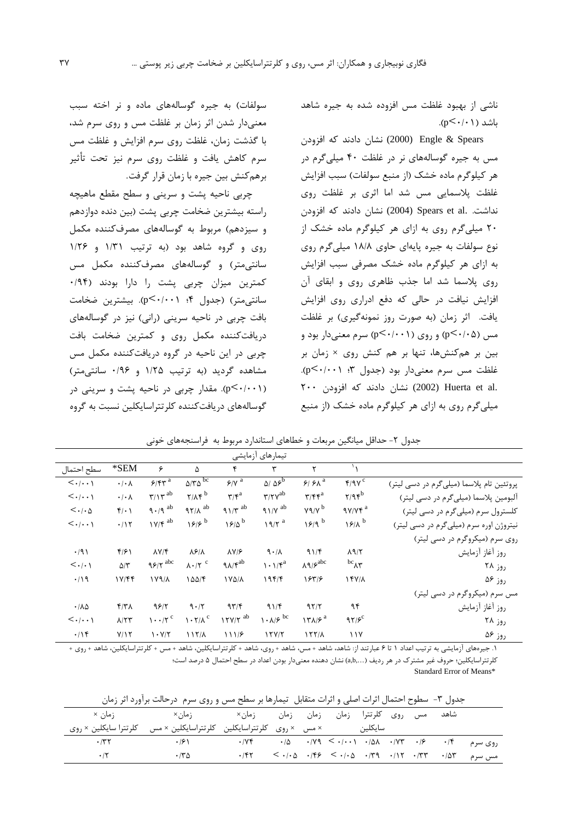ناشی از بهبود غلظت مس افزوده شده به جیره شاهد  $(p<\cdot/\cdot)$ باشد (۱

Engle & Spears (2000) نشان دادند که افزودن مس به جیره گوسالههای نر در غلظت ۴۰ میلیگرم در هر كيلوگرم ماده خشك (از منبع سولفات) سبب افزايش غلظت پلاسمایی مس شد اما اثری بر غلظت روی نداشت. .Spears et al (2004) نشان دادند که افزودن ۲۰ میلی گرم روی به ازای هر کیلوگرم ماده خشک از نوع سولفات به جیره پایهای حاوی ۱۸/۸ میلیگرم روی به ازای هر کیلوگرم ماده خشک مصرفی سبب افزایش روی پلاسما شد اما جذب ظاهری روی و ابقای آن افزایش نیافت در حالی که دفع ادراری روی افزایش یافت. اثر زمان (به صورت روز نمونهگیری) بر غلظت مس (p<٠/٠۵) و روی (p<٠/٠٠١) سرم معنیدار بود و بین بر همکنشها، تنها بر هم کنش روی × زمان بر غلظت مس سرم معنىدار بود (جدول ٣: p<٠/٠٠١). نشان دادند که افزودن ۲۰۰ $(2002)$  Huerta et al. میلی گرم روی به ازای هر کیلوگرم ماده خشک (از منبع

سولفات) به جیره گوسالههای ماده و نر اخته سبب معنی دار شدن اثر زمان بر غلظت مس و روی سرم شد، با گذشت زمان، غلظت روی سرم افزایش و غلظت مس سرم کاهش یافت و غلظت روی سرم نیز تحت تأثیر برهم *ک*نش بین جیره با زمان قرار گرفت.

چربی ناحیه پشت و سرینی و سطح مقطع ماهیچه راسته بیشترین ضخامت چربی پشت (بین دنده دوازدهم و سيزدهم) مربوط به گوسالههاي مصرف كننده مكمل روی و گروه شاهد بود (به ترتیب ١/٣١ و ١/٢۶ سانتى متر) و گوسالەھاي مصرفكنندە مكمل مس كمترين ميزان چربى پشت را دارا بودند (١٩۴. سانتی متر) (جدول ۴؛ p<۰/۰۰۱). بیشترین ضخامت بافت چربی در ناحیه سرینی (رانی) نیز در گوسالههای دریافتکننده مکمل روی و کمترین ضخامت بافت چربی در این ناحیه در گروه دریافتکننده مکمل مس مشاهده گردید (به ترتیب ۱/۲۵ و ۰/۹۶ سانتی متر) (p<٠/٠١). مقدار چربی در ناحیه پشت و سرینی در گوسالههای دریافتکننده کلرتتراسایکلین نسبت به گروه

|                                       |                            |                                          |                                       |                                      | تيمارهاى آزمايشى                                   |                                                |                     |                                          |
|---------------------------------------|----------------------------|------------------------------------------|---------------------------------------|--------------------------------------|----------------------------------------------------|------------------------------------------------|---------------------|------------------------------------------|
| سطح احتمال                            | $*SEM$                     | ۶                                        | ۵                                     | ۴                                    | ٣                                                  | ٢                                              |                     |                                          |
| $\langle \ldots \rangle$              | $\cdot$ / $\cdot$ $\wedge$ | $5/8r^a$                                 | $\Delta/\Upsilon\Delta$ <sup>bc</sup> | $\frac{2}{\gamma}$                   | $\Delta/\Delta$ <sup>b</sup>                       | $9/9\lambda^a$                                 | Y/9V                | پروتئین تام پلاسما (میلیگرم در دسی لیتر) |
| $\langle \cdot   \cdot \cdot \rangle$ | $\cdot$ / $\cdot$ $\wedge$ | $\mathbf{r}/\mathbf{r}^{\text{ab}}$      | $Y/\Lambda f^b$                       | $\mathbf{r}/\mathbf{r}^{\mathrm{a}}$ | $\mathbf{r}/\mathbf{r}$ $\mathbf{v}^{\mathrm{ab}}$ | $\mathbf{r}/\mathbf{r}\mathbf{r}^{\mathrm{a}}$ | $Y/9$ fb            | آلبومین پلاسما (میلیگرم در دسی لیتر)     |
| $\langle \cdot   \cdot \Delta$        | $f(\cdot)$                 | $9.79$ <sup>ab</sup>                     | $97/\lambda$ <sup>ab</sup>            | $91/\tau^{ab}$                       | $91/Y$ <sup>ab</sup>                               | $Y9/Y$ <sup>b</sup>                            | $9Y/Yf^a$           | کلسترول سرم (میلیگرم در دسی لیتر)        |
| $\langle \cdot   \cdot \cdot \rangle$ | .115                       | $1V/f^{ab}$                              | 19/5                                  | $15/0^b$                             | $19/7$ <sup>a</sup>                                | 19/9                                           | $18/1$ <sup>b</sup> | نیتروژن اوره سرم (میلیگرم در دسی لیتر)   |
|                                       |                            |                                          |                                       |                                      |                                                    |                                                |                     | روی سرم (میکروگرم در دسی لیتر)           |
| $\cdot$ /9)                           | f/51                       | $\lambda V/F$                            | $\lambda$ ۶/ $\lambda$                | $\lambda V/F$                        | 9.1                                                | 91/F                                           | $\lambda$ 9/٢       | روز أغاز أزمايش                          |
| $\langle \cdot   \cdot \rangle$       | $\Delta/\tau$              | $95/7$ <sup>abc</sup>                    | $\lambda \cdot$ /۲ <sup>c</sup>       | $9\lambda/\mathfrak{f}^{ab}$         | $\mathcal{N} \cdot \mathcal{N}^a$                  | $\lambda$ 9/ $\varphi$ <sup>abc</sup>          | $bc_{\Lambda}$      | روز ۲۸                                   |
| .419                                  | $1 \text{Y/FF}$            | $1Y9/\lambda$                            | ۱۵۵/۴                                 | 1 Y 4 / A                            | 195/                                               | 18518                                          | $15Y/\lambda$       | روز ۵۶                                   |
|                                       |                            |                                          |                                       |                                      |                                                    |                                                |                     | مس سرم (میکروگرم در دسی لیتر)            |
| $\cdot$ / $\Lambda$ $\Delta$          | $f/T\Lambda$               | 9817                                     | 9.17                                  | 97/                                  | 91/f                                               | 97/7                                           | ۹۴                  | روز أغاز أزمايش                          |
| $\langle \cdot   \cdot \cdot \rangle$ | $\Lambda/\Upsilon\Upsilon$ | $\cdots$ /۲ <sup>c</sup>                 | $\lambda \cdot \gamma / \lambda^c$    | $17Y/Y$ <sup>ab</sup>                | $\lambda \cdot \lambda/\mathcal{F}$ bc             | $17\lambda/5^a$                                | $97/5^{\circ}$      | روز ۲۸                                   |
| .1                                    | Y/Y                        | $\mathsf{V} \cdot \mathsf{V}/\mathsf{V}$ | 117/A                                 | 1117                                 | 17Y/T                                              | 157/                                           | $\frac{1}{1}$       | روز ۵۶<br>.                              |

جدول ۲- حداقل میانگین مربعات و خطاهای استاندارد مربوط به فراسنجههای خونی

۱. جیرههای آزمایشی به ترتیب اعداد ۱ تا ۶ عبارتند از: شاهد، شاهد + مس، شاهد + روی، شاهد + كلرتتراسایكلین، شاهد + مس + كلرتتراسایكلین، شاهد + روی + کلرتتراسایکلین؛ حروف غیر مشترک در هر ردیف (...,a,b) نشان دهنده معنیدار بودن اعداد در سطح احتمال ۵ درصد است؛ Standard Error of Means\*

| جدول ۳- سطوح احتمال اثرات اصلی و اثرات متقابل تیمارها بر سطح مس و روی سرم درحالت براورد اثر زمان |                     |                 |                |           |                                                                                                                                                                                                                                 |         |  |            |                         |         |
|--------------------------------------------------------------------------------------------------|---------------------|-----------------|----------------|-----------|---------------------------------------------------------------------------------------------------------------------------------------------------------------------------------------------------------------------------------|---------|--|------------|-------------------------|---------|
| ;مان ×                                                                                           | ;مان×               | زمان×           |                | زمان زمان | روی کلرتترا زمان                                                                                                                                                                                                                |         |  | مس         | شاهد                    |         |
| کلر تترا سایکلین × روی                                                                           | کلرتتراسایکلین × مس | كلر تتراسايكلين | × مس۔ × روی۔ آ |           |                                                                                                                                                                                                                                 | سايكلين |  |            |                         |         |
| $\cdot$ /۳۲                                                                                      | .191                | .109            |                |           | $\cdot$ /0 $\cdot$ / $\vee$ 9 $\leq$ $\cdot$ / $\cdot$ $\cdot$ $\cdot$ $\wedge$ $\cdot$ $\wedge$ $\vee$ $\vee$ $\vee$                                                                                                           |         |  | $\cdot$ /۶ | $\cdot$ /۴              | روی سرم |
| $\cdot$ /۲                                                                                       | $\cdot$ /۳ $\Delta$ | .787            |                |           | $\langle \cdot   \cdot \rangle$ $\langle \cdot   \cdot \rangle$ $\langle \cdot   \cdot \rangle$ $\langle \cdot   \cdot \rangle$ $\langle \cdot   \cdot \rangle$ $\langle \cdot   \cdot \rangle$ $\langle \cdot   \cdot \rangle$ |         |  |            | $\cdot$ / $\Delta \tau$ | مس سرم  |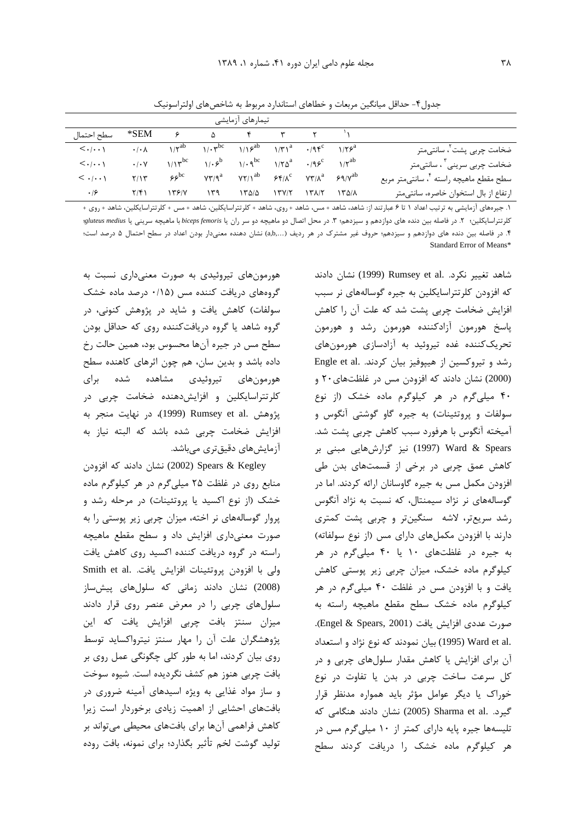جدول۴- حداقل میانگین مربعات و خطاهای استاندارد مربوط به شاخصهای اولتراسونیک

|                                                     |       | تیمارهای آزمایشی |      |                                                                                                      |     |                           |                      |                                       |  |
|-----------------------------------------------------|-------|------------------|------|------------------------------------------------------------------------------------------------------|-----|---------------------------|----------------------|---------------------------------------|--|
|                                                     |       |                  |      | $\begin{matrix} \Delta & \mathbf{r} & \mathbf{r} & \mathbf{r} & \mathbf{r} \end{matrix}$             |     | $\epsilon$ and $\epsilon$ | *SEM                 | سطح احتمال                            |  |
| ضخامت چربی پشت ً، سانتیمتر                          |       |                  |      | $1/\zeta^{ab}$ $1/\cdot \zeta^{bc}$ $1/\zeta^{ab}$ $1/\zeta^{a}$ $\cdot$ $/9\zeta^{c}$ $1/\zeta^{a}$ |     |                           | $\cdot/\cdot \wedge$ | $\langle \ldots \rangle$              |  |
| ضخامت چربی سرینی <sup>۳</sup> ، سانتیمتر            |       |                  |      | $1/r^b$ $1/r^{\alpha^{bc}}$ $1/r^{\alpha^{a}}$ $\cdot$ $(95^c$ $1/r^{\alpha^{b}})$                   |     | $1/\sqrt{p}$              | .1.4                 | $\langle \cdot   \cdot \cdot \rangle$ |  |
| سطح مقطع ماهیچه راسته <sup>۴</sup> ، سانتی متر مربع |       |                  |      | $VT/9^a$ $YT/1^{ab}$ $\mathcal{F}f/\lambda^c$ $VT/\lambda^a$ $\mathcal{F}q/\lambda^{ab}$             |     | $55^{\circ}$              | Y/Y                  | $\langle \cdot   \cdot \cdot \rangle$ |  |
| ارتفاع از بال استخوان خاصره، سانتی متر              | ۱۳۵/۸ | ۱۳۸/۲            | YY/Y | ۱۳۵/۵                                                                                                | ۱۳۹ | ۱۳۶۱۷                     | ۲/۴۱                 | ۰۱۶                                   |  |

١. جیرههای آزمایشی به ترتیب اعداد ١ تا ۶ عبارتند از: شاهد، شاهد + مس، شاهد + روی، شاهد + کلرتتراسایکلین، شاهد + مس + کلرتتراسایکلین، شاهد + روی + کلرتتراسایکلین؛ ۲. در فاصله بین دنده های دوازدهم و سیزدهم؛ ۳. در محل اتصال دو ماهیچه دو سر ران یا biceps femoris با ماهیچه سرینی یا gluteus medius: ۴. در فاصله بین دنده های دوازدهم و سیزدهم؛ حروف غیر مشترک در هر ردیف (…,a,b) نشان دهنده معنیدار بودن اعداد در سطح احتمال ۵ درصد است؛ Standard Error of Means\*

> شاهد تغییر نکرد. .Rumsey et al (1999) نشان دادند که افزودن کلرتتراسایکلین به جیره گوسالههای نر سبب افزایش ضخامت چربی پشت شد که علت آن را کاهش یاسخ هورمون آزادکننده هورمون رشد و هورمون تحریک کننده غده تیروئید به آزادسازی هورمونهای رشد و تیروکسین از هیپوفیز بیان کردند. .Engle et al (2000) نشان دادند که افزودن مس در غلظتهای ۲۰ و ۴۰ میلیگرم در هر کیلوگرم ماده خشک (از نوع سولفات و پروتئینات) به جیره گاو گوشتی آنگوس و آميخته آنگوس با هرفورد سبب كاهش چربي پشت شد. Ward & Spears (1997) نیز گزارشهایی مبنی بر کاهش عمق چربی در برخی از قسمتهای بدن طی افزودن مکمل مس به جیره گاوسانان ارائه کردند. اما در گوسالههای نر نژاد سیمنتال، که نسبت به نژاد آنگوس رشد سریعتر، لاشه سنگینتر و چربی پشت کمتری دارند با افزودن مکملهای دارای مس (از نوع سولفاته) به جیره در غلظتهای ١٠ یا ۴٠ میلی گرم در هر کیلوگرم ماده خشک، میزان چربی زیر پوستی کاهش یافت و با افزودن مس در غلظت ۴۰ میلیگرم در هر كيلوگرم ماده خشك سطح مقطع ماهيچه راسته به صورت عددي افزايش يافت (Engel & Spears, 2001). .Ward et al (1995) بيان نمودند كه نوع نژاد و استعداد آن برای افزایش یا کاهش مقدار سلولهای چربی و در کل سرعت ساخت چربی در بدن یا تفاوت در نوع خوراک یا دیگر عوامل مؤثر باید همواره مدنظر قرار گیرد. .Sharma et al (2005) نشان دادند هنگامی که تلیسهها جیره پایه دارای کمتر از ۱۰ میلیگرم مس در هر کیلوگرم ماده خشک را دریافت کردند سطح

هورمونهای تیروئیدی به صورت معنیداری نسبت به گروههای دریافت کننده مس (۰/۱۵ درصد ماده خشک سولفات) کاهش یافت و شاید در پژوهش کنونی، در گروه شاهد یا گروه دریافتکننده روی که حداقل بودن سطح مس در جیره آنها محسوس بود، همین حالت رخ داده باشد و بدین سان، هم چون اثرهای کاهنده سطح هورمونهای تیروئیدی مشاهده شده برای کلرتتراسایکلین و افزایشدهنده ضخامت چربی در يژوهش .Rumsey et al (1999)، در نهايت منجر به افزایش ضخامت چربی شده باشد که البته نیاز به آزمایشهای دقیقتری میباشد.

Spears & Kegley نشان دادند که افزودن Spears & منابع روی در غلظت ۲۵ میلیگرم در هر کیلوگرم ماده خشک (از نوع اکسید یا پروتئینات) در مرحله رشد و یروار گوسالههای نر اخته، میزان چربی زیر پوستی را به صورت معنى دارى افزايش داد و سطح مقطع ماهيچه راسته در گروه دریافت کننده اکسید روی کاهش یافت ولی با افزودن یروتئینات افزایش یافت. Smith et al. (2008) نشان دادند زمانی که سلولهای پیشساز سلول های چربی را در معرض عنصر روی قرار دادند میزان سنتز بافت چربی افزایش یافت که این پژوهشگران علت آن را مهار سنتز نیترواکساید توسط روی بیان کردند، اما به طور کلی چگونگی عمل روی بر بافت چربی هنوز هم کشف نگردیده است. شیوه سوخت و ساز مواد غذایی به ویژه اسیدهای آمینه ضروری در بافتهای احشایی از اهمیت زیادی برخوردار است زیرا كاهش فراهمي آنها براي بافتهاي محيطى مىتواند بر تولید گوشت لخم تأثیر بگذارد؛ برای نمونه، بافت روده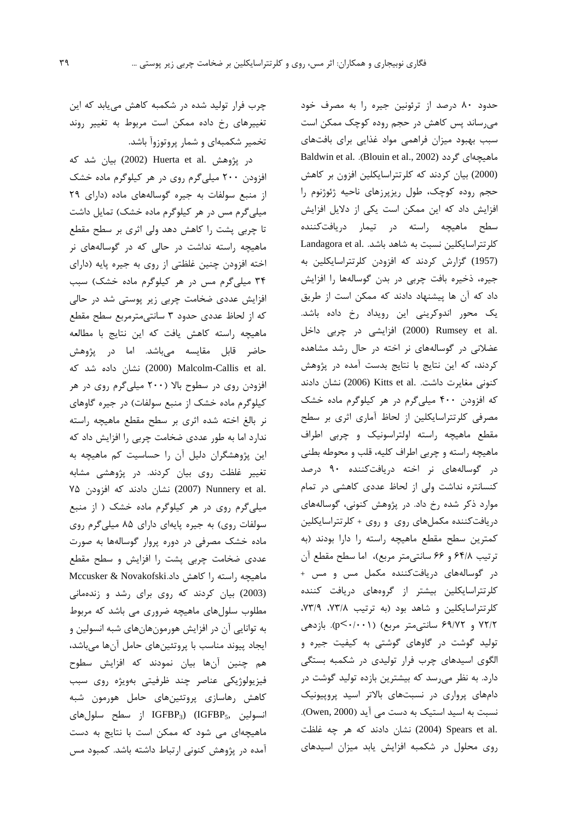چرب فرار تولید شده در شکمبه کاهش می یابد که این تغییرهای رخ داده ممکن است مربوط به تغییر روند تخمیر شکمبهای و شمار پروتوزوآ باشد.

در يژوهش .Huerta et al (2002) بيان شد كه افزودن ۲۰۰ میلی گرم روی در هر کیلوگرم ماده خشک از منبع سولفات به جیره گوسالههای ماده (دارای ٢٩ میلی گرم مس در هر کیلوگرم ماده خشک) تمایل داشت تا چربی پشت را کاهش دهد ولی اثری بر سطح مقطع ماهیچه راسته نداشت در حالی که در گوسالههای نر اخته افزودن چنین غلظتی از روی به جیره پایه (دارای ۳۴ میلیگرم مس در هر کیلوگرم ماده خشک) سبب افزایش عددی ضخامت چربی زیر پوستی شد در حالی كه از لحاظ عددى حدود ٣ سانتى مترمربع سطح مقطع ماهیچه راسته کاهش یافت که این نتایج با مطالعه حاضر قابل مقایسه میباشد. اما در پژوهش .2000) Malcolm-Callis et al نشان داده شد که افزودن روی در سطوح بالا (۲۰۰ میلی گرم روی در هر کیلوگرم ماده خشک از منبع سولفات) در جیره گاوهای نر بالغ اخته شده اثرى بر سطح مقطع ماهيچه راسته ندارد اما به طور عددی ضخامت چربی را افزایش داد که این پژوهشگران دلیل آن را حساسیت کم ماهیچه به تغییر غلظت روی بیان کردند. در پژوهشی مشابه .2007) Nunnery et al نشان دادند که افزودن ۷۵ میلیگرم روی در هر کیلوگرم ماده خشک ( از منبع سولفات روی) به جیره پایهای دارای ۸۵ میلیگرم روی ماده خشک مصرفی در دوره پروار گوسالهها به صورت عددی ضخامت چربی پشت را افزایش و سطح مقطع ماهیچه راسته را کاهش داد.Mccusker & Novakofski (2003) بیان کردند که روی برای رشد و زندهمانی مطلوب سلولهای ماهیچه ضروری می باشد که مربوط به توانایی آن در افزایش هورمونهانهای شبه انسولین و ایجاد پیوند مناسب با پروتئینهای حامل آنها میباشد، هم چنین آنها بیان نمودند که افزایش سطوح فیزیولوژیکی عناصر چند ظرفیتی بهویژه روی سبب کاهش رهاسازی پروتئینهای حامل هورمون شبه انسولین ,IGFBP<sub>3</sub>) (IGFBP<sub>5</sub> از سطح سلولهای ماهیچهای می شود که ممکن است با نتایج به دست آمده در پژوهش کنونی ارتباط داشته باشد. کمبود مس

حدود ۸۰ درصد از ترئونین جیره را به مصرف خود میرساند پس کاهش در حجم روده کوچک ممکن است سبب بهبود میزان فراهمی مواد غذایی برای بافتهای Baldwin et al. .(Blouin et al., 2002) ماهیچهای گردد (2000) بیان کردند که کلرتتراسایکلین افزون بر کاهش حجم روده کوچک، طول ریزپرزهای ناحیه ژئوژنوم را افزایش داد که این ممکن است یکی از دلایل افزایش سطح ماهیچه راسته در تیمار دریافتکننده Landagora et al. نسبت به شاهد باشد. Landagora et al. (1957) گزارش كردند كه افزودن كلرتتراسايكلين به جیره، ذخیره بافت چربی در بدن گوسالهها را افزایش داد که آن ها پیشنهاد دادند که ممکن است از طریق یک محور اندوکرینی این رویداد رخ داده باشد. .2000) افزایشی در چربی داخل (2000) Context عضلانی در گوسالههای نر اخته در حال رشد مشاهده کردند، که این نتایج با نتایج بدست آمده در پژوهش كنوني مغايرت داشت. .Kitts et al (2006) نشان دادند که افزودن ۴۰۰ میلیگرم در هر کیلوگرم ماده خشک مصرفی کلرتتراسایکلین از لحاظ آماری اثری بر سطح مقطع ماهیچه راسته اولتراسونیک و چربی اطراف ماهیچه راسته و چربی اطراف کلیه، قلب و محوطه بطنی در گوسالههای نر اخته دریافتکننده ۹۰ درصد کنسانتره نداشت ولی از لحاظ عددی کاهشی در تمام موارد ذکر شده رخ داد. در پژوهش کنونی، گوسالههای دریافت کننده مکملهای روی و روی + کلرتتراسایکلین كمترين سطح مقطع ماهيچه راسته را دارا بودند (به ترتيب ۶۴/۸ و ۶۶ سانتي متر مربع)، اما سطح مقطع آن در گوسالههای دریافتکننده مکمل مس و مس + کلرتتراسایکلین بیشتر از گروههای دریافت کننده کلرتتراسایکلین و شاهد بود (به ترتیب ۷۳/۸، ۷۳/۹، ۷۲/۲ و ۶۹/۷۲ سانتی متر مربع) (p<۰/۰۰۱). بازدهی تولید گوشت در گاوهای گوشتی به کیفیت جیره و الگوی اسیدهای چرب فرار تولیدی در شکمبه بستگی دارد. به نظر می رسد که بیشترین بازده تولید گوشت در دامهای پرواری در نسبتهای بالاتر اسید پروپیونیک نسبت به اسید استیک به دست می آید (Owen, 2000). .Spears et al (2004) نشان دادند که هر چه غلظت روی محلول در شکمبه افزایش یابد میزان اسیدهای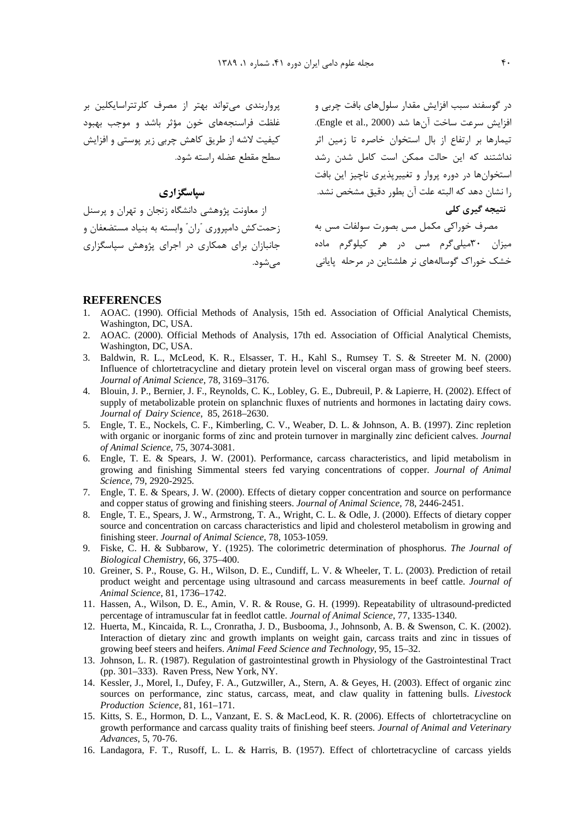رواریند*ی می*تواند بهتر از مصرف که تتراسایکلین بر .<br>غلظت فراسنجههای خون مؤثر باشد و موجب بهبود کیفیت لاشه از طریق کاهش جربی زیر بوستی و افزایش سطح مقطع عضله ,استه شود.

## سپاسگزاري

مصرف خوراکی مکمل مس بصورت سولفات مس به هستن در این دامیرون آران ً وابسته به بنیاد مستضعفان و میزان ۳۰میل*ی گ*رم مس در هر کیلوگرم ماده جانیازان برای همکاری در احرای شوهش سیاسگزاری .<br>از معاونت بژوهشی دانشگاه زنجان و تهران و برسنا ء<br>مہرشود.

```
د. گوسفند سبب افزایش مقدار سلولهای بافت چربی و
افزايش سرعت ساخت آنها شد (Engle et al., 2000).
.<br>تیمارها بر ارتفاع از بال استخوان خاصره تا زمین اثر
.<br>نداشتند که این حالت ممکن است کامل شدن رشد
استخوانها د. دوره برول و تغییربذیری ناحیز این بافت
.ا نشان دهد که البته علت آن بطور دقیق مشخص نشد.
                                نتیجه گیری کلی
```
.<br>خشک خوراک گوسالههای نر هلشتاین در مرحله پایانی

#### **REFERENCES**

- 1. AOAC. (1990). Official Methods of Analysis, 15th ed. Association of Official Analytical Chemists, Washington, DC, USA.
- 2. AOAC. (2000). Official Methods of Analysis, 17th ed. Association of Official Analytical Chemists, Washington, DC, USA.
- 3. Baldwin, R. L., McLeod, K. R., Elsasser, T. H., Kahl S., Rumsey T. S. & Streeter M. N. (2000) Influence of chlortetracycline and dietary protein level on visceral organ mass of growing beef steers. *Journal of Animal Science*, 78, 3169–3176.
- 4. Blouin, J. P., Bernier, J. F., Reynolds, C. K., Lobley, G. E., Dubreuil, P. & Lapierre, H. (2002). Effect of supply of metabolizable protein on splanchnic fluxes of nutrients and hormones in lactating dairy cows. *Journal of Dairy Science*, 85, 2618–2630.<br>5. Engle, T. E., Nockels, C. F., Kimberling, C. V., Weaber, D. L. & Johnson, A. B. (1997). Zinc repletion
- with organic or inorganic forms of zinc and protein turnover in marginally zinc deficient calves. *Journal of Animal Science,* 75, 3074-3081.
- 6. Engle, T. E. & Spears, J. W. (2001). Performance, carcass characteristics, and lipid metabolism in growing and finishing Simmental steers fed varying concentrations of copper. *Journal of Animal Science,* 79, 2920-2925.
- 7. Engle, T. E. & Spears, J. W. (2000). Effects of dietary copper concentration and source on performance and copper status of growing and finishing steers. *Journal of Animal Science,* 78, 2446-2451.
- 8. Engle, T. E., Spears, J. W., Armstrong, T. A., Wright, C. L. & Odle, J. (2000). Effects of dietary copper source and concentration on carcass characteristics and lipid and cholesterol metabolism in growing and finishing steer. *Journal of Animal Science,* 78, 1053-1059.
- 9. Fiske, C. H. & Subbarow, Y. (1925). The colorimetric determination of phosphorus. *The Journal of Biological Chemistry*, 66, 375–400.
- 10. Greiner, S. P., Rouse, G. H., Wilson, D. E., Cundiff, L. V. & Wheeler, T. L. (2003). Prediction of retail product weight and percentage using ultrasound and carcass measurements in beef cattle. *Journal of Animal Science*, 81, 1736–1742.
- 11. Hassen, A., Wilson, D. E., Amin, V. R. & Rouse, G. H. (1999). Repeatability of ultrasound-predicted percentage of intramuscular fat in feedlot cattle. *Journal of Animal Science*, 77, 1335-1340.
- 12. Huerta, M., Kincaida, R. L., Cronratha, J. D., Busbooma, J., Johnsonb, A. B. & Swenson, C. K. (2002). Interaction of dietary zinc and growth implants on weight gain, carcass traits and zinc in tissues of growing beef steers and heifers. *Animal Feed Science and Technology*, 95, 15–32.
- 13. Johnson, L. R. (1987). Regulation of gastrointestinal growth in Physiology of the Gastrointestinal Tract (pp. 301–333). Raven Press, New York, NY.
- 14. Kessler, J., Morel, I., Dufey, F. A., Gutzwiller, A., Stern, A. & Geyes, H. (2003). Effect of organic zinc sources on performance, zinc status, carcass, meat, and claw quality in fattening bulls. *Livestock Production Science*, 81, 161–171.
- 15. Kitts, S. E., Hormon, D. L., Vanzant, E. S. & MacLeod, K. R. (2006). Effects of chlortetracycline on growth performance and carcass quality traits of finishing beef steers. *Journal of Animal and Veterinary Advances*, 5, 70-76.
- 16. Landagora, F. T., Rusoff, L. L. & Harris, B. (1957). Effect of chlortetracycline of carcass yields